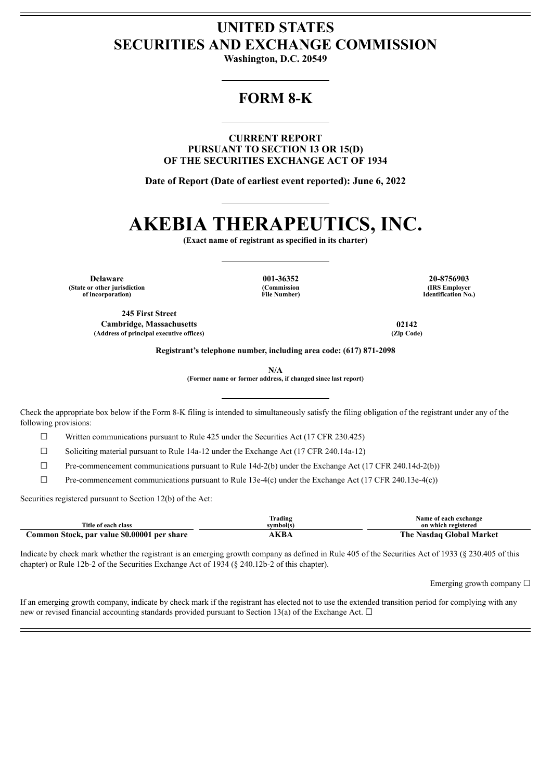## **UNITED STATES SECURITIES AND EXCHANGE COMMISSION**

**Washington, D.C. 20549**

## **FORM 8-K**

**CURRENT REPORT PURSUANT TO SECTION 13 OR 15(D) OF THE SECURITIES EXCHANGE ACT OF 1934**

**Date of Report (Date of earliest event reported): June 6, 2022**

# **AKEBIA THERAPEUTICS, INC.**

**(Exact name of registrant as specified in its charter)**

**Delaware 001-36352 20-8756903 (State or other jurisdiction of incorporation)**

**(Commission File Number)**

**(IRS Employer Identification No.)**

**245 First Street Cambridge, Massachusetts 02142**  $(A$ ddress of principal executive offices)

**Registrant's telephone number, including area code: (617) 871-2098**

**N/A**

**(Former name or former address, if changed since last report)**

Check the appropriate box below if the Form 8-K filing is intended to simultaneously satisfy the filing obligation of the registrant under any of the following provisions:

 $\Box$  Written communications pursuant to Rule 425 under the Securities Act (17 CFR 230.425)

☐ Soliciting material pursuant to Rule 14a-12 under the Exchange Act (17 CFR 240.14a-12)

 $\Box$  Pre-commencement communications pursuant to Rule 14d-2(b) under the Exchange Act (17 CFR 240.14d-2(b))

 $\Box$  Pre-commencement communications pursuant to Rule 13e-4(c) under the Exchange Act (17 CFR 240.13e-4(c))

Securities registered pursuant to Section 12(b) of the Act:

|                                             | frading    | Name of each exchange           |
|---------------------------------------------|------------|---------------------------------|
| Title of each class                         | symbol(s)  | on which registered             |
| Common Stock, par value \$0.00001 per share | <b>XBA</b> | <b>The Nasdaq Global Market</b> |

Indicate by check mark whether the registrant is an emerging growth company as defined in Rule 405 of the Securities Act of 1933 (§ 230.405 of this chapter) or Rule 12b-2 of the Securities Exchange Act of 1934 (§ 240.12b-2 of this chapter).

Emerging growth company  $\Box$ 

If an emerging growth company, indicate by check mark if the registrant has elected not to use the extended transition period for complying with any new or revised financial accounting standards provided pursuant to Section 13(a) of the Exchange Act.  $\Box$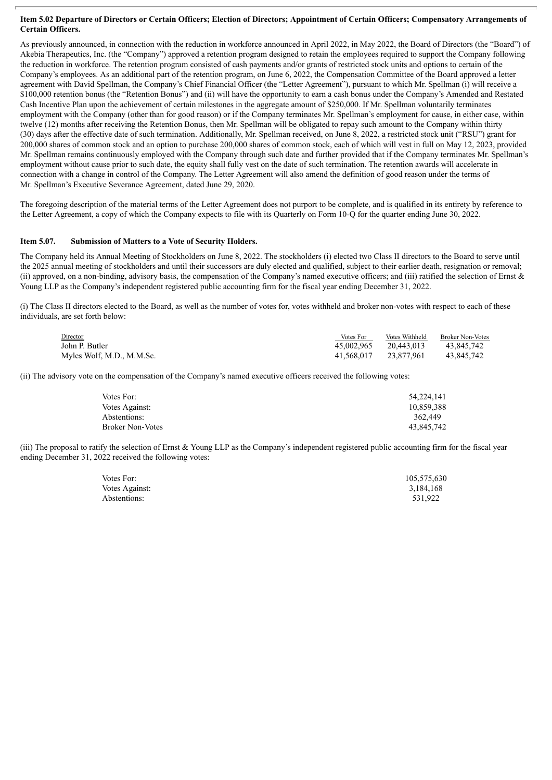#### Item 5.02 Departure of Directors or Certain Officers; Election of Directors; Appointment of Certain Officers; Compensatory Arrangements of **Certain Officers.**

As previously announced, in connection with the reduction in workforce announced in April 2022, in May 2022, the Board of Directors (the "Board") of Akebia Therapeutics, Inc. (the "Company") approved a retention program designed to retain the employees required to support the Company following the reduction in workforce. The retention program consisted of cash payments and/or grants of restricted stock units and options to certain of the Company's employees. As an additional part of the retention program, on June 6, 2022, the Compensation Committee of the Board approved a letter agreement with David Spellman, the Company's Chief Financial Officer (the "Letter Agreement"), pursuant to which Mr. Spellman (i) will receive a \$100,000 retention bonus (the "Retention Bonus") and (ii) will have the opportunity to earn a cash bonus under the Company's Amended and Restated Cash Incentive Plan upon the achievement of certain milestones in the aggregate amount of \$250,000. If Mr. Spellman voluntarily terminates employment with the Company (other than for good reason) or if the Company terminates Mr. Spellman's employment for cause, in either case, within twelve (12) months after receiving the Retention Bonus, then Mr. Spellman will be obligated to repay such amount to the Company within thirty (30) days after the effective date of such termination. Additionally, Mr. Spellman received, on June 8, 2022, a restricted stock unit ("RSU") grant for 200,000 shares of common stock and an option to purchase 200,000 shares of common stock, each of which will vest in full on May 12, 2023, provided Mr. Spellman remains continuously employed with the Company through such date and further provided that if the Company terminates Mr. Spellman's employment without cause prior to such date, the equity shall fully vest on the date of such termination. The retention awards will accelerate in connection with a change in control of the Company. The Letter Agreement will also amend the definition of good reason under the terms of Mr. Spellman's Executive Severance Agreement, dated June 29, 2020.

The foregoing description of the material terms of the Letter Agreement does not purport to be complete, and is qualified in its entirety by reference to the Letter Agreement, a copy of which the Company expects to file with its Quarterly on Form 10-Q for the quarter ending June 30, 2022.

#### **Item 5.07. Submission of Matters to a Vote of Security Holders.**

The Company held its Annual Meeting of Stockholders on June 8, 2022. The stockholders (i) elected two Class II directors to the Board to serve until the 2025 annual meeting of stockholders and until their successors are duly elected and qualified, subject to their earlier death, resignation or removal; (ii) approved, on a non-binding, advisory basis, the compensation of the Company's named executive officers; and (iii) ratified the selection of Ernst  $\&$ Young LLP as the Company's independent registered public accounting firm for the fiscal year ending December 31, 2022.

(i) The Class II directors elected to the Board, as well as the number of votes for, votes withheld and broker non-votes with respect to each of these individuals, are set forth below:

| Director                  | Votes For  | Votes Withheld | <b>Broker Non-Votes</b> |
|---------------------------|------------|----------------|-------------------------|
| John P. Butler            | 45.002.965 | 20.443.013     | 43.845.742              |
| Myles Wolf, M.D., M.M.Sc. | 41.568.017 | 23.877.961     | 43.845.742              |

(ii) The advisory vote on the compensation of the Company's named executive officers received the following votes:

| Votes For:              | 54,224,141 |
|-------------------------|------------|
| Votes Against:          | 10,859,388 |
| Abstentions:            | 362,449    |
| <b>Broker Non-Votes</b> | 43.845.742 |

(iii) The proposal to ratify the selection of Ernst & Young LLP as the Company's independent registered public accounting firm for the fiscal year ending December 31, 2022 received the following votes:

| Votes For:     | 105,575,630 |
|----------------|-------------|
| Votes Against: | 3,184,168   |
| Abstentions:   | 531.922     |